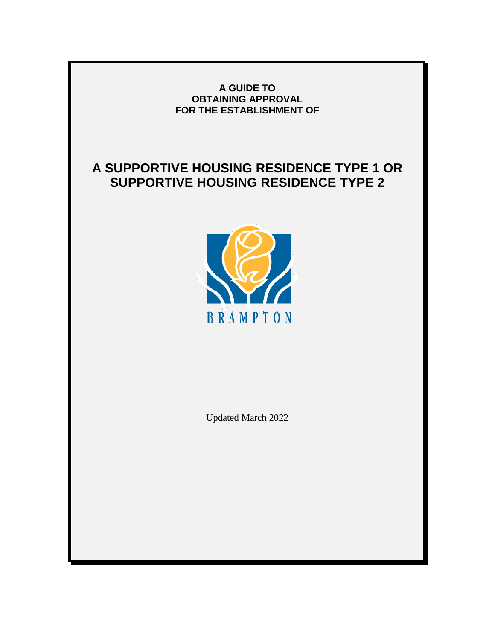#### **A GUIDE TO OBTAINING APPROVAL FOR THE ESTABLISHMENT OF**

# **A SUPPORTIVE HOUSING RESIDENCE TYPE 1 OR SUPPORTIVE HOUSING RESIDENCE TYPE 2**



Updated March 2022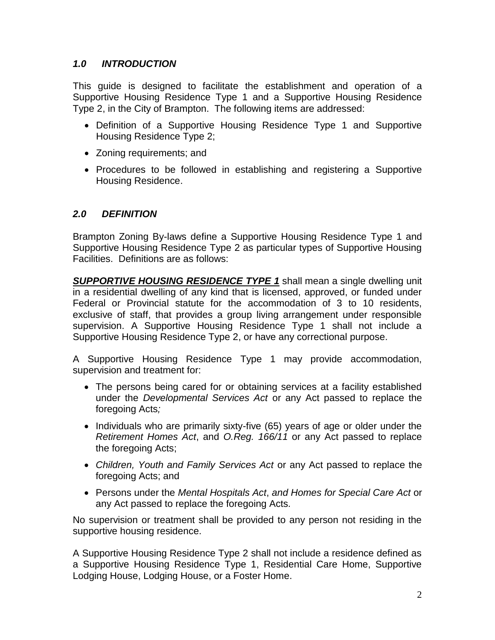### *1.0 INTRODUCTION*

This guide is designed to facilitate the establishment and operation of a Supportive Housing Residence Type 1 and a Supportive Housing Residence Type 2, in the City of Brampton. The following items are addressed:

- Definition of a Supportive Housing Residence Type 1 and Supportive Housing Residence Type 2;
- Zoning requirements; and
- Procedures to be followed in establishing and registering a Supportive Housing Residence.

### *2.0 DEFINITION*

Brampton Zoning By-laws define a Supportive Housing Residence Type 1 and Supportive Housing Residence Type 2 as particular types of Supportive Housing Facilities. Definitions are as follows:

*SUPPORTIVE HOUSING RESIDENCE TYPE 1* shall mean a single dwelling unit in a residential dwelling of any kind that is licensed, approved, or funded under Federal or Provincial statute for the accommodation of 3 to 10 residents, exclusive of staff, that provides a group living arrangement under responsible supervision. A Supportive Housing Residence Type 1 shall not include a Supportive Housing Residence Type 2, or have any correctional purpose.

A Supportive Housing Residence Type 1 may provide accommodation, supervision and treatment for:

- The persons being cared for or obtaining services at a facility established under the *Developmental Services Act* or any Act passed to replace the foregoing Acts*;*
- Individuals who are primarily sixty-five (65) years of age or older under the *Retirement Homes Act*, and *O.Reg. 166/11* or any Act passed to replace the foregoing Acts;
- *Children, Youth and Family Services Act* or any Act passed to replace the foregoing Acts; and
- Persons under the *Mental Hospitals Act*, *and Homes for Special Care Act* or any Act passed to replace the foregoing Acts*.*

No supervision or treatment shall be provided to any person not residing in the supportive housing residence.

A Supportive Housing Residence Type 2 shall not include a residence defined as a Supportive Housing Residence Type 1, Residential Care Home, Supportive Lodging House, Lodging House, or a Foster Home.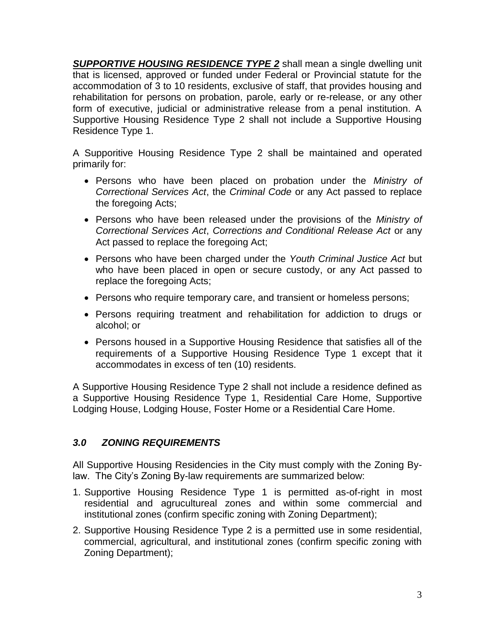**SUPPORTIVE HOUSING RESIDENCE TYPE 2** shall mean a single dwelling unit that is licensed, approved or funded under Federal or Provincial statute for the accommodation of 3 to 10 residents, exclusive of staff, that provides housing and rehabilitation for persons on probation, parole, early or re-release, or any other form of executive, judicial or administrative release from a penal institution. A Supportive Housing Residence Type 2 shall not include a Supportive Housing Residence Type 1.

A Supporitive Housing Residence Type 2 shall be maintained and operated primarily for:

- Persons who have been placed on probation under the *Ministry of Correctional Services Act*, the *Criminal Code* or any Act passed to replace the foregoing Acts;
- Persons who have been released under the provisions of the *Ministry of Correctional Services Act*, *Corrections and Conditional Release Act* or any Act passed to replace the foregoing Act;
- Persons who have been charged under the *Youth Criminal Justice Act* but who have been placed in open or secure custody, or any Act passed to replace the foregoing Acts;
- Persons who require temporary care, and transient or homeless persons;
- Persons requiring treatment and rehabilitation for addiction to drugs or alcohol; or
- Persons housed in a Supportive Housing Residence that satisfies all of the requirements of a Supportive Housing Residence Type 1 except that it accommodates in excess of ten (10) residents.

A Supportive Housing Residence Type 2 shall not include a residence defined as a Supportive Housing Residence Type 1, Residential Care Home, Supportive Lodging House, Lodging House, Foster Home or a Residential Care Home.

# *3.0 ZONING REQUIREMENTS*

All Supportive Housing Residencies in the City must comply with the Zoning Bylaw. The City's Zoning By-law requirements are summarized below:

- 1. Supportive Housing Residence Type 1 is permitted as-of-right in most residential and agrucultureal zones and within some commercial and institutional zones (confirm specific zoning with Zoning Department);
- 2. Supportive Housing Residence Type 2 is a permitted use in some residential, commercial, agricultural, and institutional zones (confirm specific zoning with Zoning Department);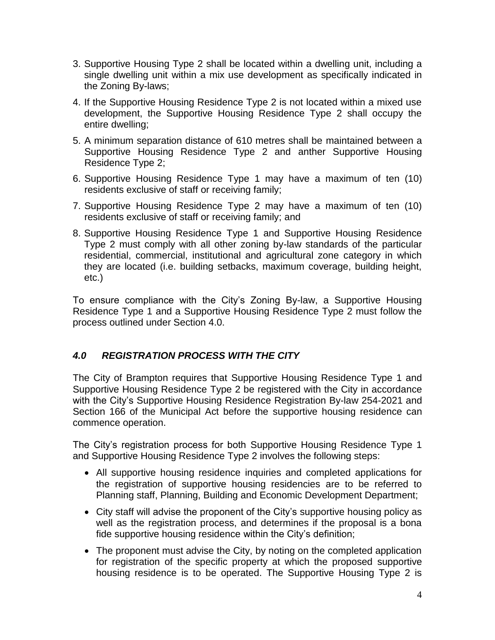- 3. Supportive Housing Type 2 shall be located within a dwelling unit, including a single dwelling unit within a mix use development as specifically indicated in the Zoning By-laws;
- 4. If the Supportive Housing Residence Type 2 is not located within a mixed use development, the Supportive Housing Residence Type 2 shall occupy the entire dwelling;
- 5. A minimum separation distance of 610 metres shall be maintained between a Supportive Housing Residence Type 2 and anther Supportive Housing Residence Type 2;
- 6. Supportive Housing Residence Type 1 may have a maximum of ten (10) residents exclusive of staff or receiving family;
- 7. Supportive Housing Residence Type 2 may have a maximum of ten (10) residents exclusive of staff or receiving family; and
- 8. Supportive Housing Residence Type 1 and Supportive Housing Residence Type 2 must comply with all other zoning by-law standards of the particular residential, commercial, institutional and agricultural zone category in which they are located (i.e. building setbacks, maximum coverage, building height, etc.)

To ensure compliance with the City's Zoning By-law, a Supportive Housing Residence Type 1 and a Supportive Housing Residence Type 2 must follow the process outlined under Section 4.0.

# *4.0 REGISTRATION PROCESS WITH THE CITY*

The City of Brampton requires that Supportive Housing Residence Type 1 and Supportive Housing Residence Type 2 be registered with the City in accordance with the City's Supportive Housing Residence Registration By-law 254-2021 and Section 166 of the Municipal Act before the supportive housing residence can commence operation.

The City's registration process for both Supportive Housing Residence Type 1 and Supportive Housing Residence Type 2 involves the following steps:

- All supportive housing residence inquiries and completed applications for the registration of supportive housing residencies are to be referred to Planning staff, Planning, Building and Economic Development Department;
- City staff will advise the proponent of the City's supportive housing policy as well as the registration process, and determines if the proposal is a bona fide supportive housing residence within the City's definition;
- The proponent must advise the City, by noting on the completed application for registration of the specific property at which the proposed supportive housing residence is to be operated. The Supportive Housing Type 2 is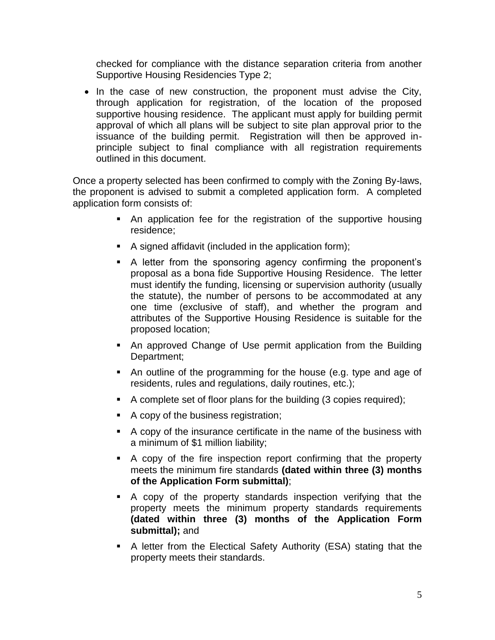checked for compliance with the distance separation criteria from another Supportive Housing Residencies Type 2;

• In the case of new construction, the proponent must advise the City, through application for registration, of the location of the proposed supportive housing residence. The applicant must apply for building permit approval of which all plans will be subject to site plan approval prior to the issuance of the building permit. Registration will then be approved inprinciple subject to final compliance with all registration requirements outlined in this document.

Once a property selected has been confirmed to comply with the Zoning By-laws, the proponent is advised to submit a completed application form. A completed application form consists of:

- An application fee for the registration of the supportive housing residence;
- $\blacksquare$  A signed affidavit (included in the application form);
- A letter from the sponsoring agency confirming the proponent's proposal as a bona fide Supportive Housing Residence. The letter must identify the funding, licensing or supervision authority (usually the statute), the number of persons to be accommodated at any one time (exclusive of staff), and whether the program and attributes of the Supportive Housing Residence is suitable for the proposed location;
- An approved Change of Use permit application from the Building Department;
- An outline of the programming for the house (e.g. type and age of residents, rules and regulations, daily routines, etc.);
- A complete set of floor plans for the building (3 copies required);
- A copy of the business registration;
- A copy of the insurance certificate in the name of the business with a minimum of \$1 million liability;
- A copy of the fire inspection report confirming that the property meets the minimum fire standards **(dated within three (3) months of the Application Form submittal)**;
- A copy of the property standards inspection verifying that the property meets the minimum property standards requirements **(dated within three (3) months of the Application Form submittal);** and
- A letter from the Electical Safety Authority (ESA) stating that the property meets their standards.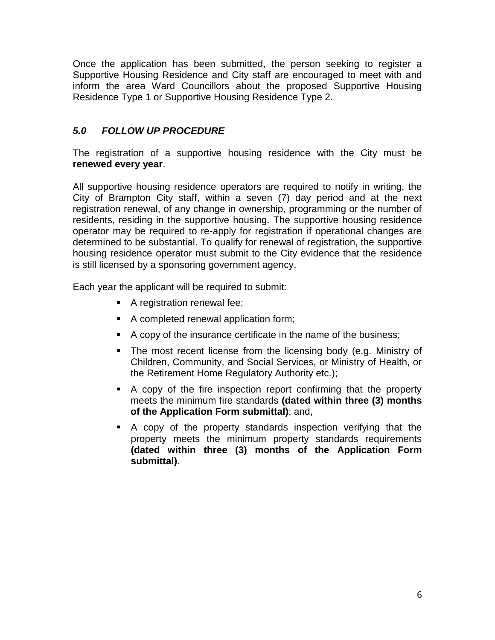Once the application has been submitted, the person seeking to register a Supportive Housing Residence and City staff are encouraged to meet with and inform the area Ward Councillors about the proposed Supportive Housing Residence Type 1 or Supportive Housing Residence Type 2.

# *5.0 FOLLOW UP PROCEDURE*

The registration of a supportive housing residence with the City must be **renewed every year**.

All supportive housing residence operators are required to notify in writing, the City of Brampton City staff, within a seven (7) day period and at the next registration renewal, of any change in ownership, programming or the number of residents, residing in the supportive housing. The supportive housing residence operator may be required to re-apply for registration if operational changes are determined to be substantial. To qualify for renewal of registration, the supportive housing residence operator must submit to the City evidence that the residence is still licensed by a sponsoring government agency.

Each year the applicant will be required to submit:

- A registration renewal fee;
- A completed renewal application form;
- A copy of the insurance certificate in the name of the business;
- The most recent license from the licensing body (e.g. Ministry of Children, Community, and Social Services, or Ministry of Health, or the Retirement Home Regulatory Authority etc.);
- A copy of the fire inspection report confirming that the property meets the minimum fire standards **(dated within three (3) months of the Application Form submittal)**; and,
- A copy of the property standards inspection verifying that the property meets the minimum property standards requirements **(dated within three (3) months of the Application Form submittal)**.